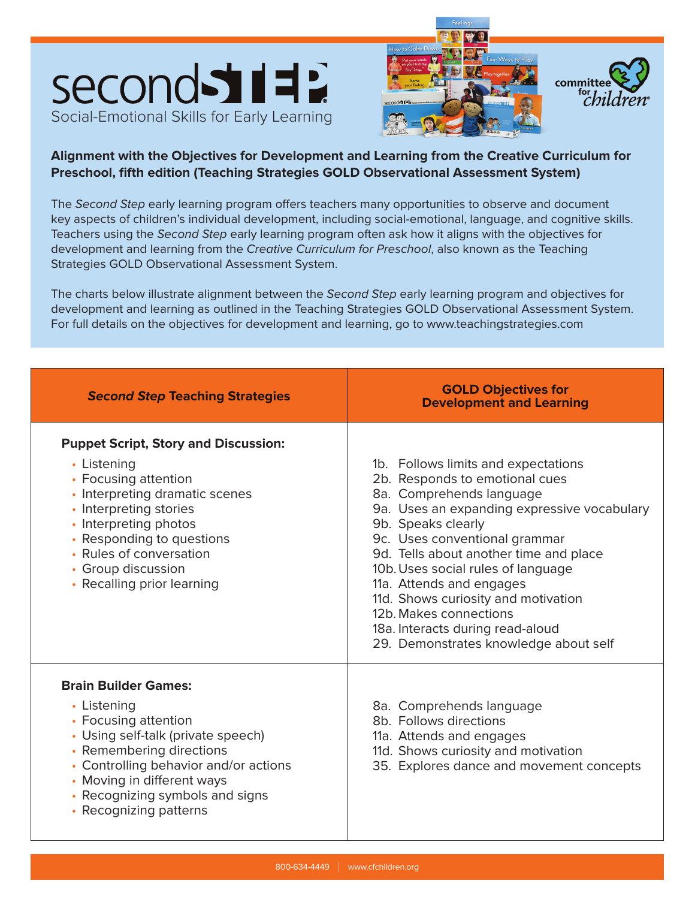





## **Alignment with the Objectives for Development and Learning from the Creative Curriculum for Preschool, fifth edition (Teaching Strategies GOLD Observational Assessment System)**

The Second Step early learning program offers teachers many opportunities to observe and document key aspects of children's individual development, including social-emotional, language, and cognitive skills. Teachers using the Second Step early learning program often ask how it aligns with the objectives for development and learning from the Creative Curriculum for Preschool, also known as the Teaching Strategies GOLD Observational Assessment System.

The charts below illustrate alignment between the Second Step early learning program and objectives for development and learning as outlined in the Teaching Strategies GOLD Observational Assessment System. For full details on the objectives for development and learning, go to www.teachingstrategies.com

| <b>Second Step Teaching Strategies</b>                                                                                                                                                                                                                                              | <b>GOLD Objectives for</b><br><b>Development and Learning</b>                                                                                                                                                                                                                                                                                                                                                                                                     |  |
|-------------------------------------------------------------------------------------------------------------------------------------------------------------------------------------------------------------------------------------------------------------------------------------|-------------------------------------------------------------------------------------------------------------------------------------------------------------------------------------------------------------------------------------------------------------------------------------------------------------------------------------------------------------------------------------------------------------------------------------------------------------------|--|
| <b>Puppet Script, Story and Discussion:</b><br>• Listening<br>• Focusing attention<br>• Interpreting dramatic scenes<br>• Interpreting stories<br>• Interpreting photos<br>• Responding to questions<br>• Rules of conversation<br>• Group discussion<br>• Recalling prior learning | 1b. Follows limits and expectations<br>2b. Responds to emotional cues<br>8a. Comprehends language<br>9a. Uses an expanding expressive vocabulary<br>9b. Speaks clearly<br>9c. Uses conventional grammar<br>9d. Tells about another time and place<br>10b. Uses social rules of language<br>11a. Attends and engages<br>11d. Shows curiosity and motivation<br>12b. Makes connections<br>18a. Interacts during read-aloud<br>29. Demonstrates knowledge about self |  |
| <b>Brain Builder Games:</b><br>• Listening<br>• Focusing attention<br>• Using self-talk (private speech)<br>• Remembering directions<br>• Controlling behavior and/or actions<br>• Moving in different ways<br>• Recognizing symbols and signs<br>• Recognizing patterns            | 8a. Comprehends language<br>8b. Follows directions<br>11a. Attends and engages<br>11d. Shows curiosity and motivation<br>35. Explores dance and movement concepts                                                                                                                                                                                                                                                                                                 |  |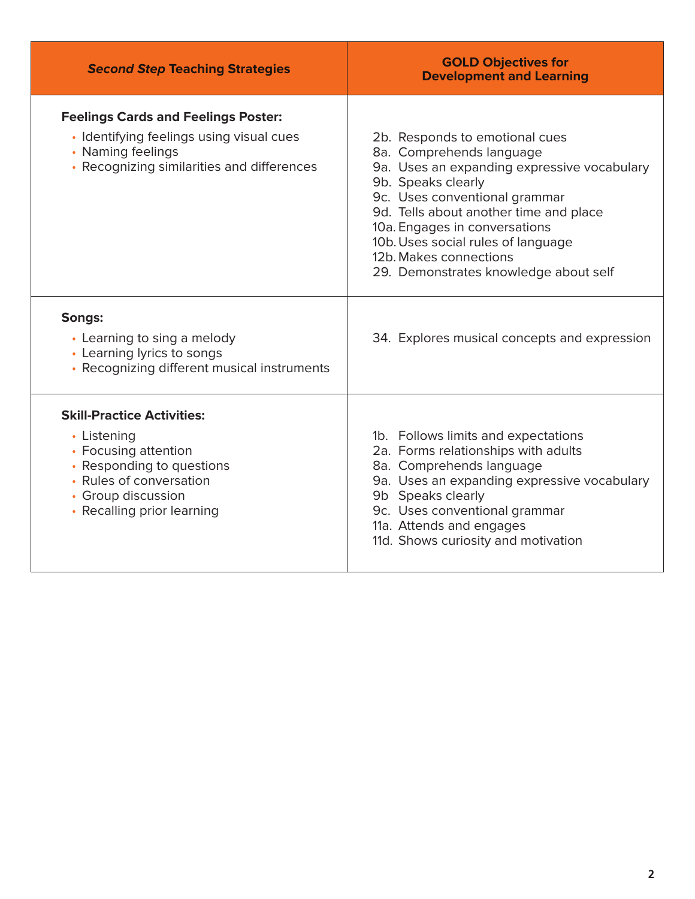| <b>Second Step Teaching Strategies</b>                                                                                                                                               | <b>GOLD Objectives for</b><br><b>Development and Learning</b>                                                                                                                                                                                                                                                                                        |  |
|--------------------------------------------------------------------------------------------------------------------------------------------------------------------------------------|------------------------------------------------------------------------------------------------------------------------------------------------------------------------------------------------------------------------------------------------------------------------------------------------------------------------------------------------------|--|
| <b>Feelings Cards and Feelings Poster:</b><br>· Identifying feelings using visual cues<br>• Naming feelings<br>• Recognizing similarities and differences                            | 2b. Responds to emotional cues<br>8a. Comprehends language<br>9a. Uses an expanding expressive vocabulary<br>9b. Speaks clearly<br>9c. Uses conventional grammar<br>9d. Tells about another time and place<br>10a. Engages in conversations<br>10b. Uses social rules of language<br>12b. Makes connections<br>29. Demonstrates knowledge about self |  |
| Songs:<br>• Learning to sing a melody<br>• Learning lyrics to songs<br>• Recognizing different musical instruments                                                                   | 34. Explores musical concepts and expression                                                                                                                                                                                                                                                                                                         |  |
| <b>Skill-Practice Activities:</b><br>• Listening<br>• Focusing attention<br>• Responding to questions<br>• Rules of conversation<br>• Group discussion<br>• Recalling prior learning | 1b. Follows limits and expectations<br>2a. Forms relationships with adults<br>8a. Comprehends language<br>9a. Uses an expanding expressive vocabulary<br>9b Speaks clearly<br>9c. Uses conventional grammar<br>11a. Attends and engages<br>11d. Shows curiosity and motivation                                                                       |  |